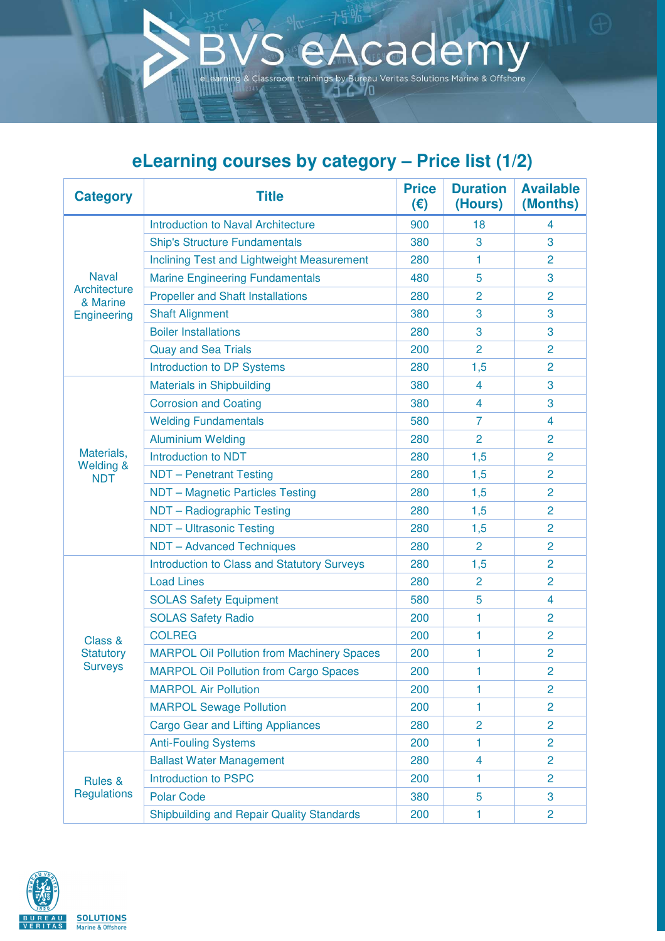## **eLearning courses by category – Price list (1/2)**

A

cademy

ex Classroom trainings by Bureau Veritas Solutions Marine & Offshore

| <b>Category</b>                                                | <b>Title</b>                                       | <b>Price</b><br>(€) | <b>Duration</b><br>(Hours) | <b>Available</b><br>(Months) |
|----------------------------------------------------------------|----------------------------------------------------|---------------------|----------------------------|------------------------------|
| <b>Naval</b><br><b>Architecture</b><br>& Marine<br>Engineering | <b>Introduction to Naval Architecture</b>          | 900                 | 18                         | 4                            |
|                                                                | <b>Ship's Structure Fundamentals</b>               | 380                 | 3                          | 3                            |
|                                                                | <b>Inclining Test and Lightweight Measurement</b>  | 280                 | 1                          | $\overline{2}$               |
|                                                                | <b>Marine Engineering Fundamentals</b>             | 480                 | 5                          | 3                            |
|                                                                | <b>Propeller and Shaft Installations</b>           | 280                 | $\overline{2}$             | $\overline{2}$               |
|                                                                | <b>Shaft Alignment</b>                             | 380                 | 3                          | 3                            |
|                                                                | <b>Boiler Installations</b>                        | 280                 | 3                          | 3                            |
|                                                                | <b>Quay and Sea Trials</b>                         | 200                 | $\overline{2}$             | $\overline{2}$               |
|                                                                | <b>Introduction to DP Systems</b>                  | 280                 | 1,5                        | $\overline{2}$               |
|                                                                | <b>Materials in Shipbuilding</b>                   | 380                 | 4                          | 3                            |
|                                                                | <b>Corrosion and Coating</b>                       | 380                 | $\overline{4}$             | 3                            |
|                                                                | <b>Welding Fundamentals</b>                        | 580                 | $\overline{7}$             | 4                            |
|                                                                | <b>Aluminium Welding</b>                           | 280                 | $\overline{2}$             | 2                            |
| Materials,                                                     | <b>Introduction to NDT</b>                         | 280                 | 1,5                        | $\overline{2}$               |
| <b>Welding &amp;</b><br><b>NDT</b>                             | <b>NDT</b> - Penetrant Testing                     | 280                 | 1,5                        | $\overline{2}$               |
|                                                                | NDT - Magnetic Particles Testing                   | 280                 | 1,5                        | $\overline{2}$               |
|                                                                | NDT - Radiographic Testing                         | 280                 | 1,5                        | $\overline{2}$               |
|                                                                | <b>NDT</b> - Ultrasonic Testing                    | 280                 | 1,5                        | $\overline{2}$               |
|                                                                | <b>NDT</b> - Advanced Techniques                   | 280                 | $\overline{2}$             | 2                            |
|                                                                | <b>Introduction to Class and Statutory Surveys</b> | 280                 | 1,5                        | $\overline{c}$               |
|                                                                | <b>Load Lines</b>                                  | 280                 | $\overline{2}$             | $\overline{2}$               |
|                                                                | <b>SOLAS Safety Equipment</b>                      | 580                 | 5                          | 4                            |
|                                                                | <b>SOLAS Safety Radio</b>                          | 200                 | 1                          | $\overline{2}$               |
| Class &                                                        | <b>COLREG</b>                                      | 200                 | 1                          | $\overline{2}$               |
| <b>Statutory</b>                                               | <b>MARPOL Oil Pollution from Machinery Spaces</b>  | 200                 | 1                          | $\overline{2}$               |
| <b>Surveys</b>                                                 | <b>MARPOL Oil Pollution from Cargo Spaces</b>      | 200                 | 1                          | $\overline{2}$               |
|                                                                | <b>MARPOL Air Pollution</b>                        | 200                 | 1                          | $\overline{2}$               |
|                                                                | <b>MARPOL Sewage Pollution</b>                     | 200                 | 1                          | 2                            |
|                                                                | <b>Cargo Gear and Lifting Appliances</b>           | 280                 | $\overline{2}$             | $\overline{2}$               |
|                                                                | <b>Anti-Fouling Systems</b>                        | 200                 | 1                          | $\overline{2}$               |
|                                                                | <b>Ballast Water Management</b>                    | 280                 | 4                          | $\overline{c}$               |
| Rules &                                                        | <b>Introduction to PSPC</b>                        | 200                 | 1                          | $\overline{2}$               |
| <b>Regulations</b>                                             | <b>Polar Code</b>                                  | 380                 | 5                          | 3                            |
|                                                                | <b>Shipbuilding and Repair Quality Standards</b>   | 200                 | 1                          | 2                            |

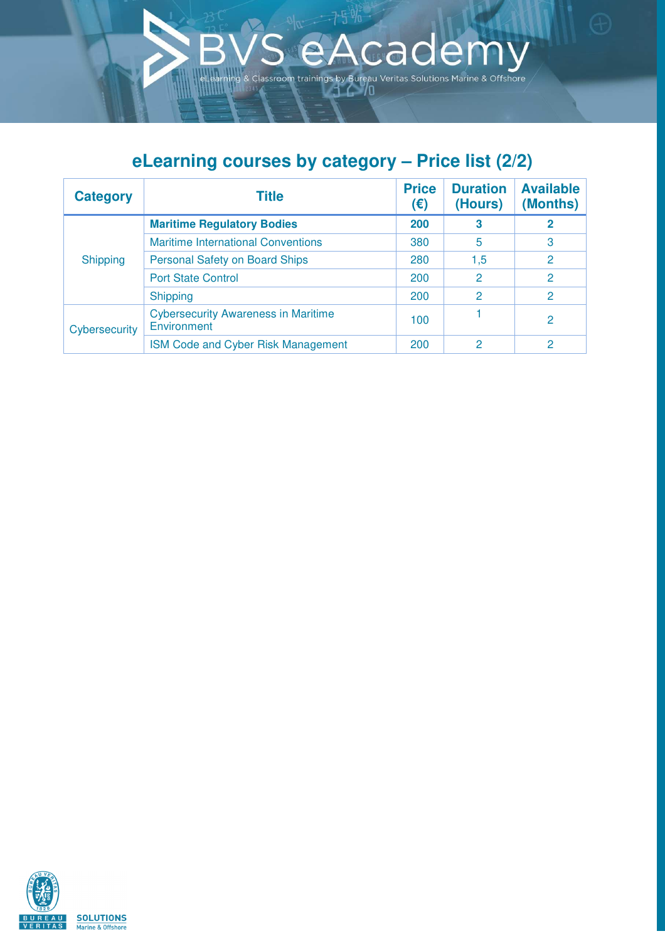## **eLearning courses by category – Price list (2/2)**

Á

 $5 \%$ 

& Classroom trainings by Bureau Veritas Solutions Marine & Offshore

cademy

| <b>Category</b> | Title                                                     | <b>Price</b><br>(€) | <b>Duration</b><br>(Hours) | <b>Available</b><br>(Months) |
|-----------------|-----------------------------------------------------------|---------------------|----------------------------|------------------------------|
| <b>Shipping</b> | <b>Maritime Regulatory Bodies</b>                         | 200                 | 3                          | 2                            |
|                 | <b>Maritime International Conventions</b>                 | 380                 | 5                          | 3                            |
|                 | <b>Personal Safety on Board Ships</b>                     | 280                 | 1,5                        | 2                            |
|                 | <b>Port State Control</b>                                 | 200                 | 2                          | $\overline{2}$               |
|                 | <b>Shipping</b>                                           | 200                 | 2                          | 2                            |
| Cybersecurity   | <b>Cybersecurity Awareness in Maritime</b><br>Environment | 100                 |                            | $\mathcal{P}$                |
|                 | <b>ISM Code and Cyber Risk Management</b>                 | 200                 | 2                          | 2                            |

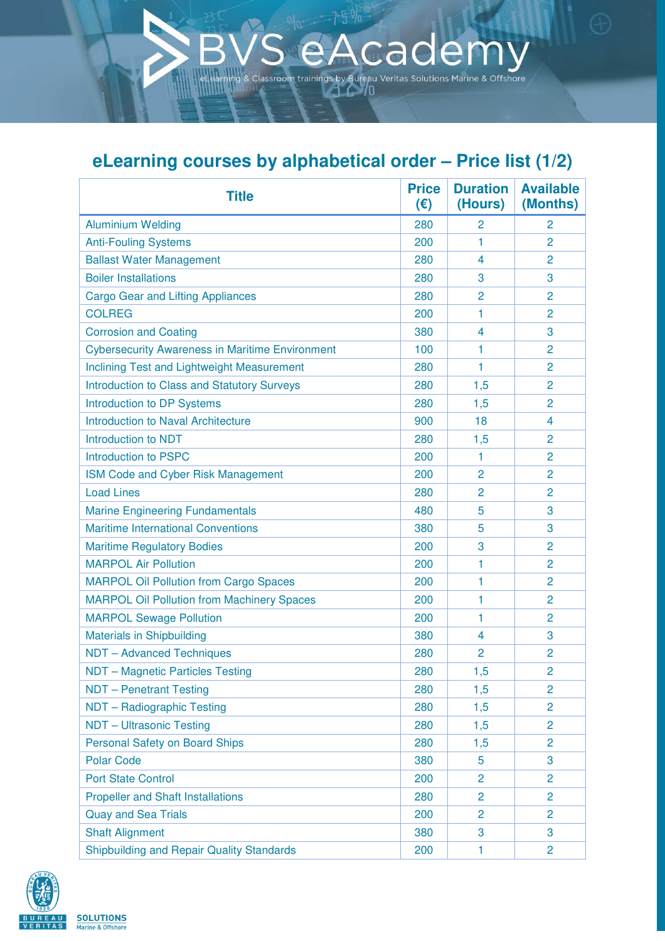## **eLearning courses by alphabetical order – Price list (1/2)**

cademy

& Classroom trainings by Bureau Veritas Solutions Marine & Offshore

| <b>Title</b>                                           | <b>Price</b><br>(€) | <b>Duration</b><br>(Hours) | <b>Available</b><br>(Months) |
|--------------------------------------------------------|---------------------|----------------------------|------------------------------|
| <b>Aluminium Welding</b>                               | 280                 | 2                          | 2                            |
| <b>Anti-Fouling Systems</b>                            | 200                 | 1                          | $\overline{2}$               |
| <b>Ballast Water Management</b>                        | 280                 | 4                          | $\overline{2}$               |
| <b>Boiler Installations</b>                            | 280                 | 3                          | 3                            |
| <b>Cargo Gear and Lifting Appliances</b>               | 280                 | $\overline{2}$             | $\overline{2}$               |
| <b>COLREG</b>                                          | 200                 | 1                          | $\overline{2}$               |
| <b>Corrosion and Coating</b>                           | 380                 | 4                          | 3                            |
| <b>Cybersecurity Awareness in Maritime Environment</b> | 100                 | 1                          | 2                            |
| Inclining Test and Lightweight Measurement             | 280                 | 1                          | $\overline{2}$               |
| <b>Introduction to Class and Statutory Surveys</b>     | 280                 | 1,5                        | $\overline{2}$               |
| <b>Introduction to DP Systems</b>                      | 280                 | 1,5                        | 2                            |
| <b>Introduction to Naval Architecture</b>              | 900                 | 18                         | 4                            |
| <b>Introduction to NDT</b>                             | 280                 | 1,5                        | 2                            |
| <b>Introduction to PSPC</b>                            | 200                 | 1                          | 2                            |
| ISM Code and Cyber Risk Management                     | 200                 | $\overline{2}$             | 2                            |
| <b>Load Lines</b>                                      | 280                 | 2                          | 2                            |
| <b>Marine Engineering Fundamentals</b>                 | 480                 | 5                          | 3                            |
| <b>Maritime International Conventions</b>              | 380                 | 5                          | 3                            |
| <b>Maritime Regulatory Bodies</b>                      | 200                 | 3                          | $\overline{2}$               |
| <b>MARPOL Air Pollution</b>                            | 200                 | 1                          | 2                            |
| <b>MARPOL Oil Pollution from Cargo Spaces</b>          | 200                 | 1                          | 2                            |
| <b>MARPOL Oil Pollution from Machinery Spaces</b>      | 200                 | 1                          | 2                            |
| <b>MARPOL Sewage Pollution</b>                         | 200                 | 1                          | 2                            |
| <b>Materials in Shipbuilding</b>                       | 380                 | 4                          | 3                            |
| <b>NDT - Advanced Techniques</b>                       | 280                 | 2                          | 2                            |
| NDT - Magnetic Particles Testing                       | 280                 | 1,5                        | $\overline{2}$               |
| <b>NDT</b> - Penetrant Testing                         | 280                 | 1,5                        | $\overline{2}$               |
| NDT - Radiographic Testing                             | 280                 | 1,5                        | $\overline{2}$               |
| <b>NDT</b> - Ultrasonic Testing                        | 280                 | 1,5                        | $\overline{2}$               |
| <b>Personal Safety on Board Ships</b>                  | 280                 | 1,5                        | $\overline{2}$               |
| <b>Polar Code</b>                                      | 380                 | 5                          | 3                            |
| <b>Port State Control</b>                              | 200                 | $\overline{2}$             | 2                            |
| <b>Propeller and Shaft Installations</b>               | 280                 | $\overline{2}$             | $\overline{2}$               |
| <b>Quay and Sea Trials</b>                             | 200                 | 2                          | 2                            |
| <b>Shaft Alignment</b>                                 | 380                 | 3                          | 3                            |
| <b>Shipbuilding and Repair Quality Standards</b>       | 200                 | 1                          | $\overline{2}$               |

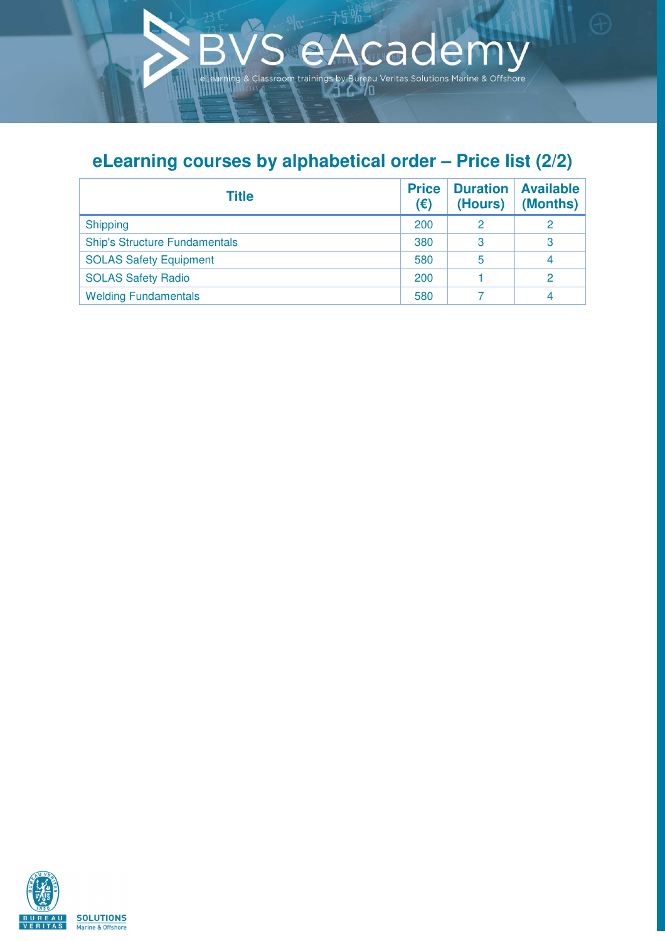## **eLearning courses by alphabetical order – Price list (2/2)**

 $\mathfrak{f}$ 

& Classroom trainings by Bureau Veritas Solutions Marine & Offshore

Á

cademy

| <b>Title</b>                         | <b>Price</b><br>(€) | <b>Duration</b><br>(Hours) | <b>Available</b><br>(Months) |
|--------------------------------------|---------------------|----------------------------|------------------------------|
| <b>Shipping</b>                      | 200                 |                            |                              |
| <b>Ship's Structure Fundamentals</b> | 380                 | З                          | 3                            |
| <b>SOLAS Safety Equipment</b>        | 580                 | 5                          |                              |
| <b>SOLAS Safety Radio</b>            | 200                 |                            |                              |
| <b>Welding Fundamentals</b>          | 580                 |                            |                              |